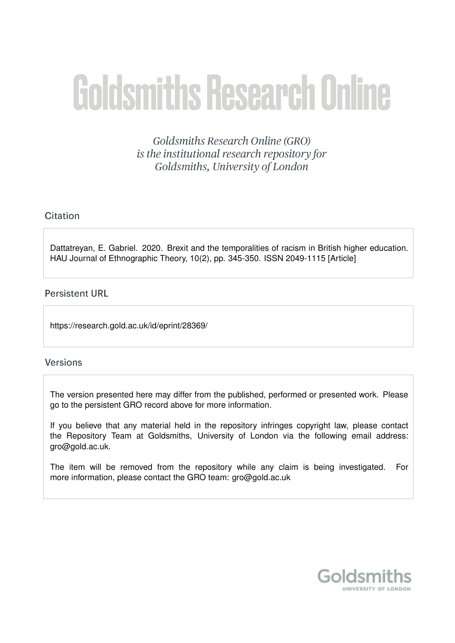# **Goldsmiths Research Online**

Goldsmiths Research Online (GRO) is the institutional research repository for Goldsmiths, University of London

# Citation

Dattatreyan, E. Gabriel. 2020. Brexit and the temporalities of racism in British higher education. HAU Journal of Ethnographic Theory, 10(2), pp. 345-350. ISSN 2049-1115 [Article]

# **Persistent URL**

https://research.gold.ac.uk/id/eprint/28369/

# **Versions**

The version presented here may differ from the published, performed or presented work. Please go to the persistent GRO record above for more information.

If you believe that any material held in the repository infringes copyright law, please contact the Repository Team at Goldsmiths, University of London via the following email address: gro@gold.ac.uk.

The item will be removed from the repository while any claim is being investigated. For more information, please contact the GRO team: gro@gold.ac.uk

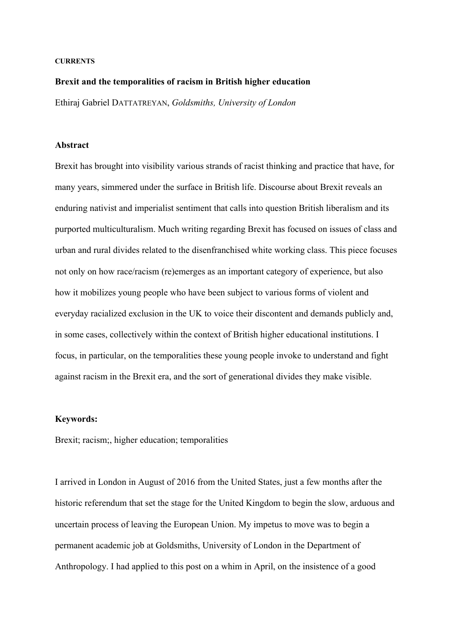#### **CURRENTS**

#### **Brexit and the temporalities of racism in British higher education**

Ethiraj Gabriel DATTATREYAN, *Goldsmiths, University of London*

## **Abstract**

Brexit has brought into visibility various strands of racist thinking and practice that have, for many years, simmered under the surface in British life. Discourse about Brexit reveals an enduring nativist and imperialist sentiment that calls into question British liberalism and its purported multiculturalism. Much writing regarding Brexit has focused on issues of class and urban and rural divides related to the disenfranchised white working class. This piece focuses not only on how race/racism (re)emerges as an important category of experience, but also how it mobilizes young people who have been subject to various forms of violent and everyday racialized exclusion in the UK to voice their discontent and demands publicly and, in some cases, collectively within the context of British higher educational institutions. I focus, in particular, on the temporalities these young people invoke to understand and fight against racism in the Brexit era, and the sort of generational divides they make visible.

## **Keywords:**

Brexit; racism;, higher education; temporalities

I arrived in London in August of 2016 from the United States, just a few months after the historic referendum that set the stage for the United Kingdom to begin the slow, arduous and uncertain process of leaving the European Union. My impetus to move was to begin a permanent academic job at Goldsmiths, University of London in the Department of Anthropology. I had applied to this post on a whim in April, on the insistence of a good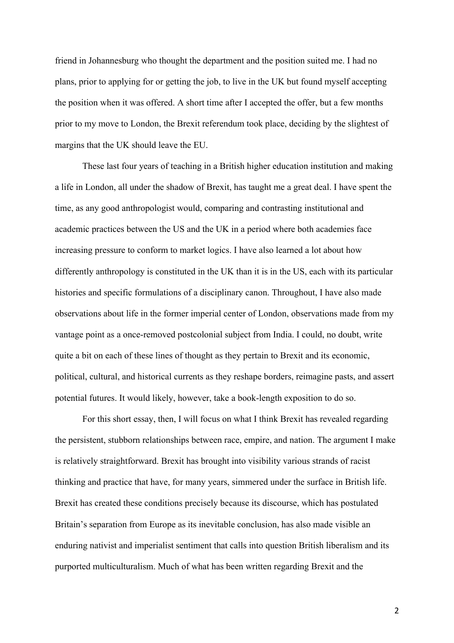friend in Johannesburg who thought the department and the position suited me. I had no plans, prior to applying for or getting the job, to live in the UK but found myself accepting the position when it was offered. A short time after I accepted the offer, but a few months prior to my move to London, the Brexit referendum took place, deciding by the slightest of margins that the UK should leave the EU.

These last four years of teaching in a British higher education institution and making a life in London, all under the shadow of Brexit, has taught me a great deal. I have spent the time, as any good anthropologist would, comparing and contrasting institutional and academic practices between the US and the UK in a period where both academies face increasing pressure to conform to market logics. I have also learned a lot about how differently anthropology is constituted in the UK than it is in the US, each with its particular histories and specific formulations of a disciplinary canon. Throughout, I have also made observations about life in the former imperial center of London, observations made from my vantage point as a once-removed postcolonial subject from India. I could, no doubt, write quite a bit on each of these lines of thought as they pertain to Brexit and its economic, political, cultural, and historical currents as they reshape borders, reimagine pasts, and assert potential futures. It would likely, however, take a book-length exposition to do so.

For this short essay, then, I will focus on what I think Brexit has revealed regarding the persistent, stubborn relationships between race, empire, and nation. The argument I make is relatively straightforward. Brexit has brought into visibility various strands of racist thinking and practice that have, for many years, simmered under the surface in British life. Brexit has created these conditions precisely because its discourse, which has postulated Britain's separation from Europe as its inevitable conclusion, has also made visible an enduring nativist and imperialist sentiment that calls into question British liberalism and its purported multiculturalism. Much of what has been written regarding Brexit and the

2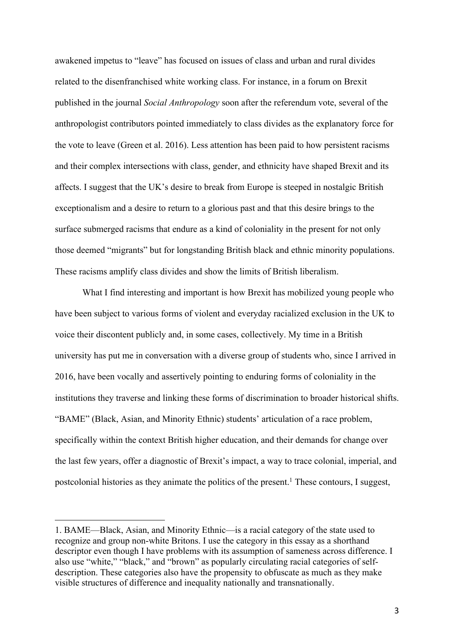awakened impetus to "leave" has focused on issues of class and urban and rural divides related to the disenfranchised white working class. For instance, in a forum on Brexit published in the journal *Social Anthropology* soon after the referendum vote, several of the anthropologist contributors pointed immediately to class divides as the explanatory force for the vote to leave (Green et al. 2016). Less attention has been paid to how persistent racisms and their complex intersections with class, gender, and ethnicity have shaped Brexit and its affects. I suggest that the UK's desire to break from Europe is steeped in nostalgic British exceptionalism and a desire to return to a glorious past and that this desire brings to the surface submerged racisms that endure as a kind of coloniality in the present for not only those deemed "migrants" but for longstanding British black and ethnic minority populations. These racisms amplify class divides and show the limits of British liberalism.

What I find interesting and important is how Brexit has mobilized young people who have been subject to various forms of violent and everyday racialized exclusion in the UK to voice their discontent publicly and, in some cases, collectively. My time in a British university has put me in conversation with a diverse group of students who, since I arrived in 2016, have been vocally and assertively pointing to enduring forms of coloniality in the institutions they traverse and linking these forms of discrimination to broader historical shifts. "BAME" (Black, Asian, and Minority Ethnic) students' articulation of a race problem, specifically within the context British higher education, and their demands for change over the last few years, offer a diagnostic of Brexit's impact, a way to trace colonial, imperial, and postcolonial histories as they animate the politics of the present.<sup>1</sup> These contours, I suggest,

<sup>1.</sup> BAME—Black, Asian, and Minority Ethnic—is a racial category of the state used to recognize and group non-white Britons. I use the category in this essay as a shorthand descriptor even though I have problems with its assumption of sameness across difference. I also use "white," "black," and "brown" as popularly circulating racial categories of selfdescription. These categories also have the propensity to obfuscate as much as they make visible structures of difference and inequality nationally and transnationally.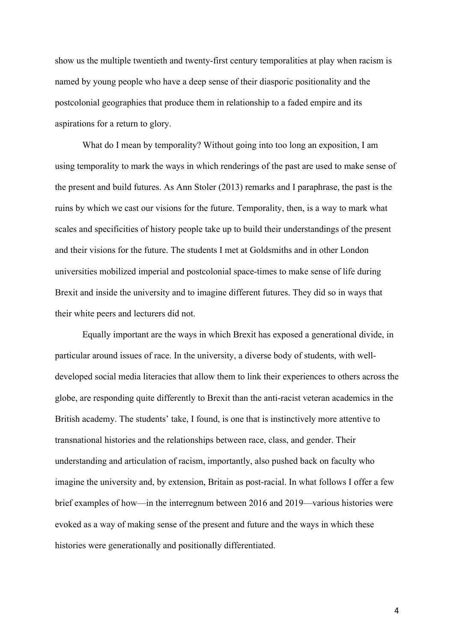show us the multiple twentieth and twenty-first century temporalities at play when racism is named by young people who have a deep sense of their diasporic positionality and the postcolonial geographies that produce them in relationship to a faded empire and its aspirations for a return to glory.

What do I mean by temporality? Without going into too long an exposition, I am using temporality to mark the ways in which renderings of the past are used to make sense of the present and build futures. As Ann Stoler (2013) remarks and I paraphrase, the past is the ruins by which we cast our visions for the future. Temporality, then, is a way to mark what scales and specificities of history people take up to build their understandings of the present and their visions for the future. The students I met at Goldsmiths and in other London universities mobilized imperial and postcolonial space-times to make sense of life during Brexit and inside the university and to imagine different futures. They did so in ways that their white peers and lecturers did not.

Equally important are the ways in which Brexit has exposed a generational divide, in particular around issues of race. In the university, a diverse body of students, with welldeveloped social media literacies that allow them to link their experiences to others across the globe, are responding quite differently to Brexit than the anti-racist veteran academics in the British academy. The students' take, I found, is one that is instinctively more attentive to transnational histories and the relationships between race, class, and gender. Their understanding and articulation of racism, importantly, also pushed back on faculty who imagine the university and, by extension, Britain as post-racial. In what follows I offer a few brief examples of how—in the interregnum between 2016 and 2019—various histories were evoked as a way of making sense of the present and future and the ways in which these histories were generationally and positionally differentiated.

4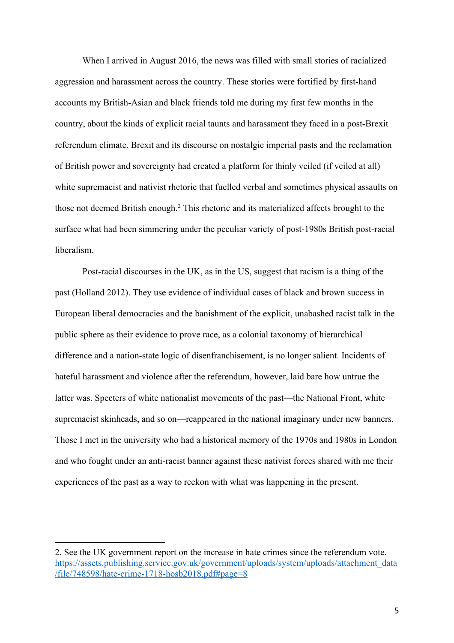When I arrived in August 2016, the news was filled with small stories of racialized aggression and harassment across the country. These stories were fortified by first-hand accounts my British-Asian and black friends told me during my first few months in the country, about the kinds of explicit racial taunts and harassment they faced in a post-Brexit referendum climate. Brexit and its discourse on nostalgic imperial pasts and the reclamation of British power and sovereignty had created a platform for thinly veiled (if veiled at all) white supremacist and nativist rhetoric that fuelled verbal and sometimes physical assaults on those not deemed British enough.2 This rhetoric and its materialized affects brought to the surface what had been simmering under the peculiar variety of post-1980s British post-racial liberalism.

Post-racial discourses in the UK, as in the US, suggest that racism is a thing of the past (Holland 2012). They use evidence of individual cases of black and brown success in European liberal democracies and the banishment of the explicit, unabashed racist talk in the public sphere as their evidence to prove race, as a colonial taxonomy of hierarchical difference and a nation-state logic of disenfranchisement, is no longer salient. Incidents of hateful harassment and violence after the referendum, however, laid bare how untrue the latter was. Specters of white nationalist movements of the past—the National Front, white supremacist skinheads, and so on—reappeared in the national imaginary under new banners. Those I met in the university who had a historical memory of the 1970s and 1980s in London and who fought under an anti-racist banner against these nativist forces shared with me their experiences of the past as a way to reckon with what was happening in the present.

<sup>2.</sup> See the UK government report on the increase in hate crimes since the referendum vote. https://assets.publishing.service.gov.uk/government/uploads/system/uploads/attachment\_data /file/748598/hate-crime-1718-hosb2018.pdf#page=8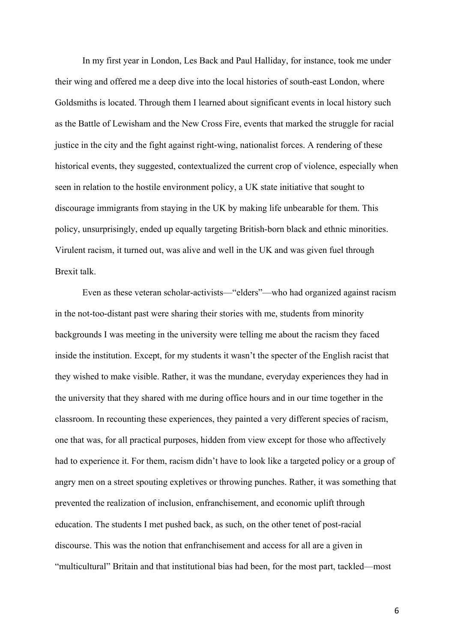In my first year in London, Les Back and Paul Halliday, for instance, took me under their wing and offered me a deep dive into the local histories of south-east London, where Goldsmiths is located. Through them I learned about significant events in local history such as the Battle of Lewisham and the New Cross Fire, events that marked the struggle for racial justice in the city and the fight against right-wing, nationalist forces. A rendering of these historical events, they suggested, contextualized the current crop of violence, especially when seen in relation to the hostile environment policy, a UK state initiative that sought to discourage immigrants from staying in the UK by making life unbearable for them. This policy, unsurprisingly, ended up equally targeting British-born black and ethnic minorities. Virulent racism, it turned out, was alive and well in the UK and was given fuel through Brexit talk.

Even as these veteran scholar-activists—"elders"—who had organized against racism in the not-too-distant past were sharing their stories with me, students from minority backgrounds I was meeting in the university were telling me about the racism they faced inside the institution. Except, for my students it wasn't the specter of the English racist that they wished to make visible. Rather, it was the mundane, everyday experiences they had in the university that they shared with me during office hours and in our time together in the classroom. In recounting these experiences, they painted a very different species of racism, one that was, for all practical purposes, hidden from view except for those who affectively had to experience it. For them, racism didn't have to look like a targeted policy or a group of angry men on a street spouting expletives or throwing punches. Rather, it was something that prevented the realization of inclusion, enfranchisement, and economic uplift through education. The students I met pushed back, as such, on the other tenet of post-racial discourse. This was the notion that enfranchisement and access for all are a given in "multicultural" Britain and that institutional bias had been, for the most part, tackled—most

6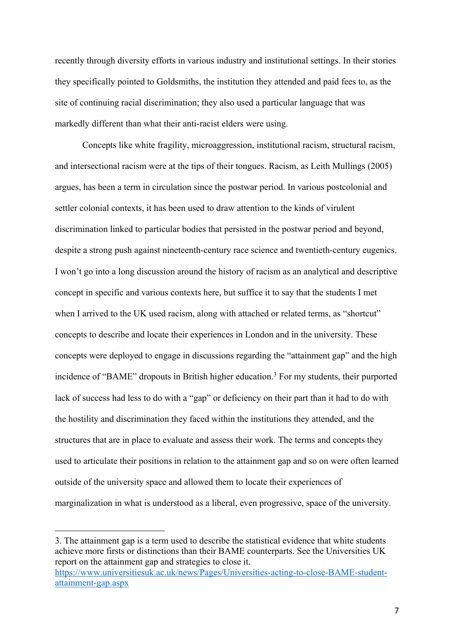recently through diversity efforts in various industry and institutional settings. In their stories they specifically pointed to Goldsmiths, the institution they attended and paid fees to, as the site of continuing racial discrimination; they also used a particular language that was markedly different than what their anti-racist elders were using.

Concepts like white fragility, microaggression, institutional racism, structural racism, and intersectional racism were at the tips of their tongues. Racism, as Leith Mullings (2005) argues, has been a term in circulation since the postwar period. In various postcolonial and settler colonial contexts, it has been used to draw attention to the kinds of virulent discrimination linked to particular bodies that persisted in the postwar period and beyond, despite a strong push against nineteenth-century race science and twentieth-century eugenics. I won't go into a long discussion around the history of racism as an analytical and descriptive concept in specific and various contexts here, but suffice it to say that the students I met when I arrived to the UK used racism, along with attached or related terms, as "shortcut" concepts to describe and locate their experiences in London and in the university. These concepts were deployed to engage in discussions regarding the "attainment gap" and the high incidence of "BAME" dropouts in British higher education. <sup>3</sup> For my students, their purported lack of success had less to do with a "gap" or deficiency on their part than it had to do with the hostility and discrimination they faced within the institutions they attended, and the structures that are in place to evaluate and assess their work. The terms and concepts they used to articulate their positions in relation to the attainment gap and so on were often learned outside of the university space and allowed them to locate their experiences of marginalization in what is understood as a liberal, even progressive, space of the university.

3. The attainment gap is a term used to describe the statistical evidence that white students achieve more firsts or distinctions than their BAME counterparts. See the Universities UK report on the attainment gap and strategies to close it. https://www.universitiesuk.ac.uk/news/Pages/Universities-acting-to-close-BAME-studentattainment-gap.aspx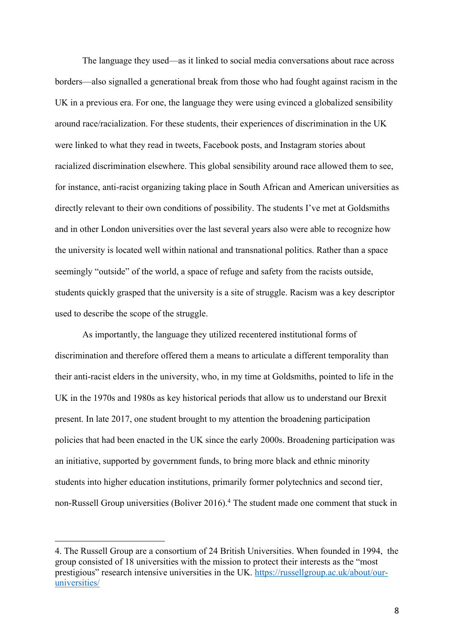The language they used—as it linked to social media conversations about race across borders—also signalled a generational break from those who had fought against racism in the UK in a previous era. For one, the language they were using evinced a globalized sensibility around race/racialization. For these students, their experiences of discrimination in the UK were linked to what they read in tweets, Facebook posts, and Instagram stories about racialized discrimination elsewhere. This global sensibility around race allowed them to see, for instance, anti-racist organizing taking place in South African and American universities as directly relevant to their own conditions of possibility. The students I've met at Goldsmiths and in other London universities over the last several years also were able to recognize how the university is located well within national and transnational politics. Rather than a space seemingly "outside" of the world, a space of refuge and safety from the racists outside, students quickly grasped that the university is a site of struggle. Racism was a key descriptor used to describe the scope of the struggle.

As importantly, the language they utilized recentered institutional forms of discrimination and therefore offered them a means to articulate a different temporality than their anti-racist elders in the university, who, in my time at Goldsmiths, pointed to life in the UK in the 1970s and 1980s as key historical periods that allow us to understand our Brexit present. In late 2017, one student brought to my attention the broadening participation policies that had been enacted in the UK since the early 2000s. Broadening participation was an initiative, supported by government funds, to bring more black and ethnic minority students into higher education institutions, primarily former polytechnics and second tier, non-Russell Group universities (Boliver 2016). <sup>4</sup> The student made one comment that stuck in

<sup>4.</sup> The Russell Group are a consortium of 24 British Universities. When founded in 1994, the group consisted of 18 universities with the mission to protect their interests as the "most prestigious" research intensive universities in the UK. https://russellgroup.ac.uk/about/ouruniversities/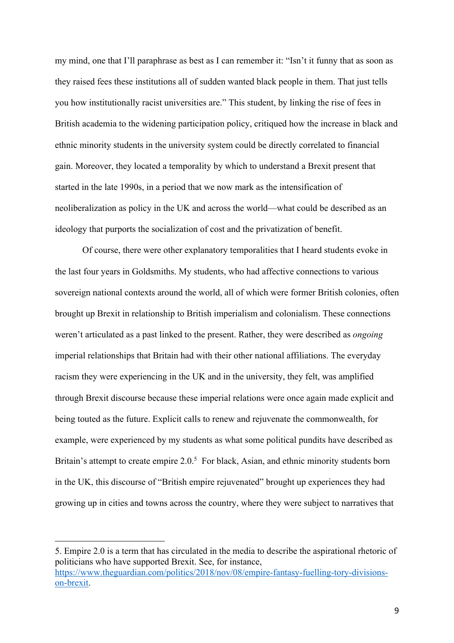my mind, one that I'll paraphrase as best as I can remember it: "Isn't it funny that as soon as they raised fees these institutions all of sudden wanted black people in them. That just tells you how institutionally racist universities are." This student, by linking the rise of fees in British academia to the widening participation policy, critiqued how the increase in black and ethnic minority students in the university system could be directly correlated to financial gain. Moreover, they located a temporality by which to understand a Brexit present that started in the late 1990s, in a period that we now mark as the intensification of neoliberalization as policy in the UK and across the world—what could be described as an ideology that purports the socialization of cost and the privatization of benefit.

Of course, there were other explanatory temporalities that I heard students evoke in the last four years in Goldsmiths. My students, who had affective connections to various sovereign national contexts around the world, all of which were former British colonies, often brought up Brexit in relationship to British imperialism and colonialism. These connections weren't articulated as a past linked to the present. Rather, they were described as *ongoing* imperial relationships that Britain had with their other national affiliations. The everyday racism they were experiencing in the UK and in the university, they felt, was amplified through Brexit discourse because these imperial relations were once again made explicit and being touted as the future. Explicit calls to renew and rejuvenate the commonwealth, for example, were experienced by my students as what some political pundits have described as Britain's attempt to create empire 2.0.<sup>5</sup> For black, Asian, and ethnic minority students born in the UK, this discourse of "British empire rejuvenated" brought up experiences they had growing up in cities and towns across the country, where they were subject to narratives that

<sup>5.</sup> Empire 2.0 is a term that has circulated in the media to describe the aspirational rhetoric of politicians who have supported Brexit. See, for instance, https://www.theguardian.com/politics/2018/nov/08/empire-fantasy-fuelling-tory-divisionson-brexit.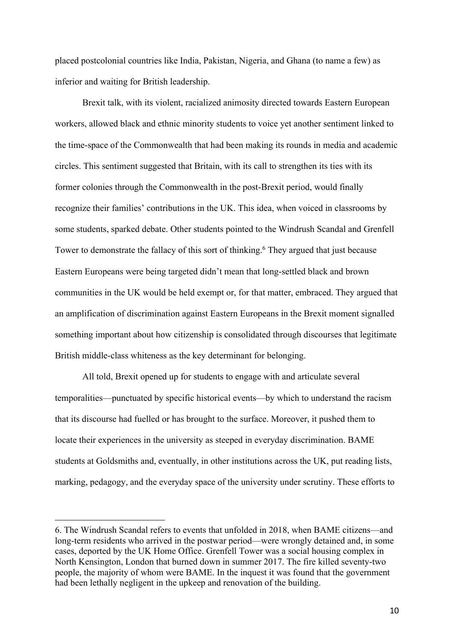placed postcolonial countries like India, Pakistan, Nigeria, and Ghana (to name a few) as inferior and waiting for British leadership.

Brexit talk, with its violent, racialized animosity directed towards Eastern European workers, allowed black and ethnic minority students to voice yet another sentiment linked to the time-space of the Commonwealth that had been making its rounds in media and academic circles. This sentiment suggested that Britain, with its call to strengthen its ties with its former colonies through the Commonwealth in the post-Brexit period, would finally recognize their families' contributions in the UK. This idea, when voiced in classrooms by some students, sparked debate. Other students pointed to the Windrush Scandal and Grenfell Tower to demonstrate the fallacy of this sort of thinking.<sup>6</sup> They argued that just because Eastern Europeans were being targeted didn't mean that long-settled black and brown communities in the UK would be held exempt or, for that matter, embraced. They argued that an amplification of discrimination against Eastern Europeans in the Brexit moment signalled something important about how citizenship is consolidated through discourses that legitimate British middle-class whiteness as the key determinant for belonging.

All told, Brexit opened up for students to engage with and articulate several temporalities—punctuated by specific historical events—by which to understand the racism that its discourse had fuelled or has brought to the surface. Moreover, it pushed them to locate their experiences in the university as steeped in everyday discrimination. BAME students at Goldsmiths and, eventually, in other institutions across the UK, put reading lists, marking, pedagogy, and the everyday space of the university under scrutiny. These efforts to

<sup>6.</sup> The Windrush Scandal refers to events that unfolded in 2018, when BAME citizens—and long-term residents who arrived in the postwar period—were wrongly detained and, in some cases, deported by the UK Home Office. Grenfell Tower was a social housing complex in North Kensington, London that burned down in summer 2017. The fire killed seventy-two people, the majority of whom were BAME. In the inquest it was found that the government had been lethally negligent in the upkeep and renovation of the building.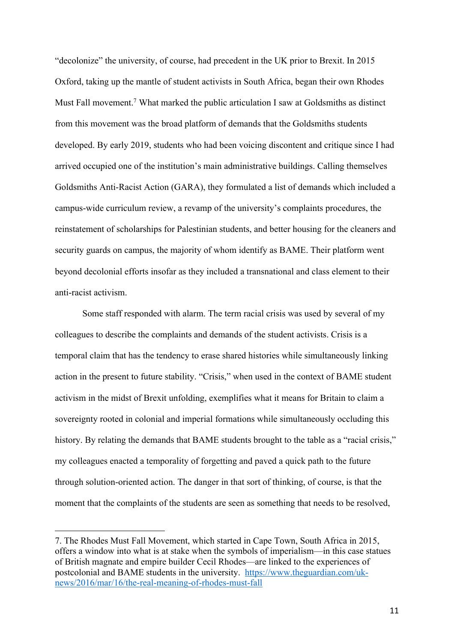"decolonize" the university, of course, had precedent in the UK prior to Brexit. In 2015 Oxford, taking up the mantle of student activists in South Africa, began their own Rhodes Must Fall movement.<sup>7</sup> What marked the public articulation I saw at Goldsmiths as distinct from this movement was the broad platform of demands that the Goldsmiths students developed. By early 2019, students who had been voicing discontent and critique since I had arrived occupied one of the institution's main administrative buildings. Calling themselves Goldsmiths Anti-Racist Action (GARA), they formulated a list of demands which included a campus-wide curriculum review, a revamp of the university's complaints procedures, the reinstatement of scholarships for Palestinian students, and better housing for the cleaners and security guards on campus, the majority of whom identify as BAME. Their platform went beyond decolonial efforts insofar as they included a transnational and class element to their anti-racist activism.

Some staff responded with alarm. The term racial crisis was used by several of my colleagues to describe the complaints and demands of the student activists. Crisis is a temporal claim that has the tendency to erase shared histories while simultaneously linking action in the present to future stability. "Crisis," when used in the context of BAME student activism in the midst of Brexit unfolding, exemplifies what it means for Britain to claim a sovereignty rooted in colonial and imperial formations while simultaneously occluding this history. By relating the demands that BAME students brought to the table as a "racial crisis," my colleagues enacted a temporality of forgetting and paved a quick path to the future through solution-oriented action. The danger in that sort of thinking, of course, is that the moment that the complaints of the students are seen as something that needs to be resolved,

<sup>7.</sup> The Rhodes Must Fall Movement, which started in Cape Town, South Africa in 2015, offers a window into what is at stake when the symbols of imperialism—in this case statues of British magnate and empire builder Cecil Rhodes—are linked to the experiences of postcolonial and BAME students in the university. https://www.theguardian.com/uknews/2016/mar/16/the-real-meaning-of-rhodes-must-fall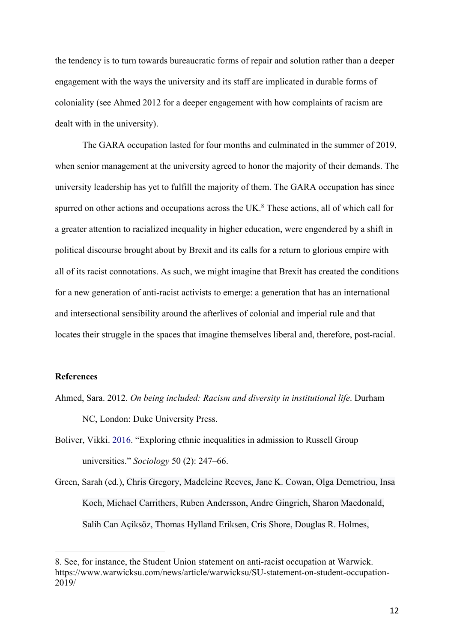the tendency is to turn towards bureaucratic forms of repair and solution rather than a deeper engagement with the ways the university and its staff are implicated in durable forms of coloniality (see Ahmed 2012 for a deeper engagement with how complaints of racism are dealt with in the university).

The GARA occupation lasted for four months and culminated in the summer of 2019, when senior management at the university agreed to honor the majority of their demands. The university leadership has yet to fulfill the majority of them. The GARA occupation has since spurred on other actions and occupations across the UK.<sup>8</sup> These actions, all of which call for a greater attention to racialized inequality in higher education, were engendered by a shift in political discourse brought about by Brexit and its calls for a return to glorious empire with all of its racist connotations. As such, we might imagine that Brexit has created the conditions for a new generation of anti-racist activists to emerge: a generation that has an international and intersectional sensibility around the afterlives of colonial and imperial rule and that locates their struggle in the spaces that imagine themselves liberal and, therefore, post-racial.

## **References**

- Ahmed, Sara. 2012. *On being included: Racism and diversity in institutional life*. Durham NC, London: Duke University Press.
- Boliver, Vikki. 2016. "Exploring ethnic inequalities in admission to Russell Group universities." *Sociology* 50 (2): 247–66.
- Green, Sarah (ed.), Chris Gregory, Madeleine Reeves, Jane K. Cowan, Olga Demetriou, Insa Koch, Michael Carrithers, Ruben Andersson, Andre Gingrich, Sharon Macdonald, Salih Can Açiksöz, Thomas Hylland Eriksen, Cris Shore, Douglas R. Holmes,

<sup>8.</sup> See, for instance, the Student Union statement on anti-racist occupation at Warwick. https://www.warwicksu.com/news/article/warwicksu/SU-statement-on-student-occupation-2019/